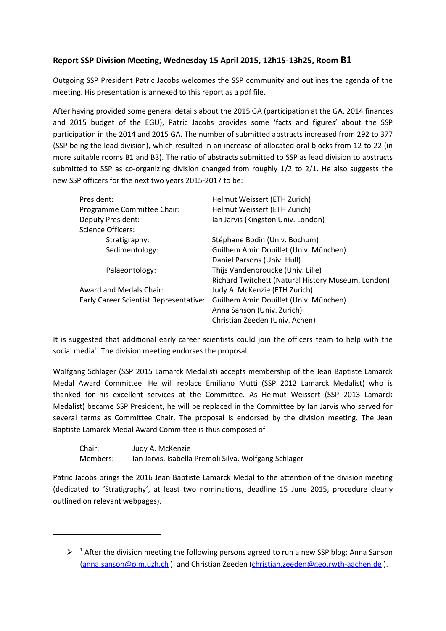## **Report SSP Division Meeting, Wednesday 15 April 2015, 12h15-13h25, Room B1**

Outgoing SSP President Patric Jacobs welcomes the SSP community and outlines the agenda of the meeting. His presentation is annexed to this report as a pdf file.

After having provided some general details about the 2015 GA (participation at the GA, 2014 finances and 2015 budget of the EGU), Patric Jacobs provides some 'facts and figures' about the SSP participation in the 2014 and 2015 GA. The number of submitted abstracts increased from 292 to 377 (SSP being the lead division), which resulted in an increase of allocated oral blocks from 12 to 22 (in more suitable rooms B1 and B3). The ratio of abstracts submitted to SSP as lead division to abstracts submitted to SSP as co-organizing division changed from roughly 1/2 to 2/1. He also suggests the new SSP officers for the next two years 2015-2017 to be:

| President:                             | Helmut Weissert (ETH Zurich)                       |
|----------------------------------------|----------------------------------------------------|
| Programme Committee Chair:             | Helmut Weissert (ETH Zurich)                       |
| Deputy President:                      | Ian Jarvis (Kingston Univ. London)                 |
| <b>Science Officers:</b>               |                                                    |
| Stratigraphy:                          | Stéphane Bodin (Univ. Bochum)                      |
| Sedimentology:                         | Guilhem Amin Douillet (Univ. München)              |
|                                        | Daniel Parsons (Univ. Hull)                        |
| Palaeontology:                         | Thijs Vandenbroucke (Univ. Lille)                  |
|                                        | Richard Twitchett (Natural History Museum, London) |
| Award and Medals Chair:                | Judy A. McKenzie (ETH Zurich)                      |
| Early Career Scientist Representative: | Guilhem Amin Douillet (Univ. München)              |
|                                        | Anna Sanson (Univ. Zurich)                         |
|                                        | Christian Zeeden (Univ. Achen)                     |

It is suggested that additional early career scientists could join the officers team to help with the social media<sup>1</sup>. The division meeting endorses the proposal.

Wolfgang Schlager (SSP 2015 Lamarck Medalist) accepts membership of the Jean Baptiste Lamarck Medal Award Committee. He will replace Emiliano Mutti (SSP 2012 Lamarck Medalist) who is thanked for his excellent services at the Committee. As Helmut Weissert (SSP 2013 Lamarck Medalist) became SSP President, he will be replaced in the Committee by Ian Jarvis who served for several terms as Committee Chair. The proposal is endorsed by the division meeting. The Jean Baptiste Lamarck Medal Award Committee is thus composed of

| Chair:   | Judy A. McKenzie                                      |
|----------|-------------------------------------------------------|
| Members: | Ian Jarvis, Isabella Premoli Silva, Wolfgang Schlager |

1

Patric Jacobs brings the 2016 Jean Baptiste Lamarck Medal to the attention of the division meeting (dedicated to 'Stratigraphy', at least two nominations, deadline 15 June 2015, procedure clearly outlined on relevant webpages).

 $\triangleright$ <sup>1</sup> After the division meeting the following persons agreed to run a new SSP blog: Anna Sanson [\(anna.sanson@pim.uzh.ch](mailto:anna.sanson@pim.uzh.ch)) and Christian Zeeden [\(christian.zeeden@geo.rwth-aachen.de](mailto:christian.zeeden@geo.rwth-aachen.de)).